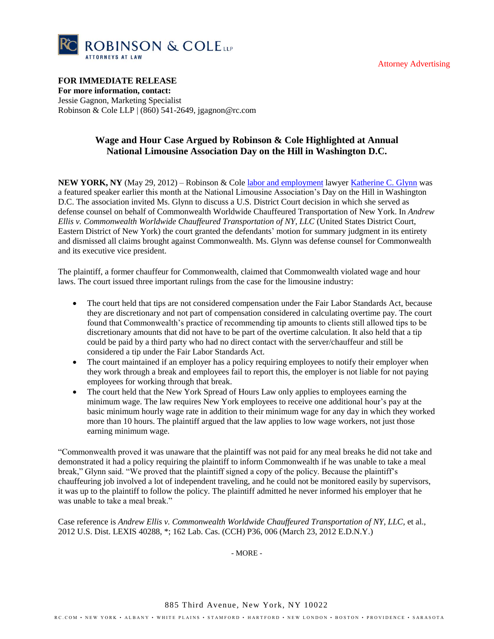



## **FOR IMMEDIATE RELEASE**

**For more information, contact:** Jessie Gagnon, Marketing Specialist Robinson & Cole LLP | (860) 541-2649, jgagnon@rc.com

## **Wage and Hour Case Argued by Robinson & Cole Highlighted at Annual National Limousine Association Day on the Hill in Washington D.C.**

**NEW YORK, NY** (May 29, 2012) – Robinson & Col[e labor and employment](http://www.rc.com/Group.cfm?gID=77) lawyer [Katherine C. Glynn](http://www.rc.com/Bio.cfm?eID=876) was a featured speaker earlier this month at the National Limousine Association's Day on the Hill in Washington D.C. The association invited Ms. Glynn to discuss a U.S. District Court decision in which she served as defense counsel on behalf of Commonwealth Worldwide Chauffeured Transportation of New York. In *Andrew Ellis v. Commonwealth Worldwide Chauffeured Transportation of NY, LLC* (United States District Court, Eastern District of New York) the court granted the defendants' motion for summary judgment in its entirety and dismissed all claims brought against Commonwealth. Ms. Glynn was defense counsel for Commonwealth and its executive vice president.

The plaintiff, a former chauffeur for Commonwealth, claimed that Commonwealth violated wage and hour laws. The court issued three important rulings from the case for the limousine industry:

- The court held that tips are not considered compensation under the Fair Labor Standards Act, because they are discretionary and not part of compensation considered in calculating overtime pay. The court found that Commonwealth's practice of recommending tip amounts to clients still allowed tips to be discretionary amounts that did not have to be part of the overtime calculation. It also held that a tip could be paid by a third party who had no direct contact with the server/chauffeur and still be considered a tip under the Fair Labor Standards Act.
- The court maintained if an employer has a policy requiring employees to notify their employer when they work through a break and employees fail to report this, the employer is not liable for not paying employees for working through that break.
- The court held that the New York Spread of Hours Law only applies to employees earning the minimum wage. The law requires New York employees to receive one additional hour's pay at the basic minimum hourly wage rate in addition to their minimum wage for any day in which they worked more than 10 hours. The plaintiff argued that the law applies to low wage workers, not just those earning minimum wage.

"Commonwealth proved it was unaware that the plaintiff was not paid for any meal breaks he did not take and demonstrated it had a policy requiring the plaintiff to inform Commonwealth if he was unable to take a meal break," Glynn said. "We proved that the plaintiff signed a copy of the policy. Because the plaintiff's chauffeuring job involved a lot of independent traveling, and he could not be monitored easily by supervisors, it was up to the plaintiff to follow the policy. The plaintiff admitted he never informed his employer that he was unable to take a meal break."

Case reference is *Andrew Ellis v. Commonwealth Worldwide Chauffeured Transportation of NY, LLC,* et al., 2012 U.S. Dist. LEXIS 40288, \*; 162 Lab. Cas. (CCH) P36, 006 (March 23, 2012 E.D.N.Y.)

- MORE -